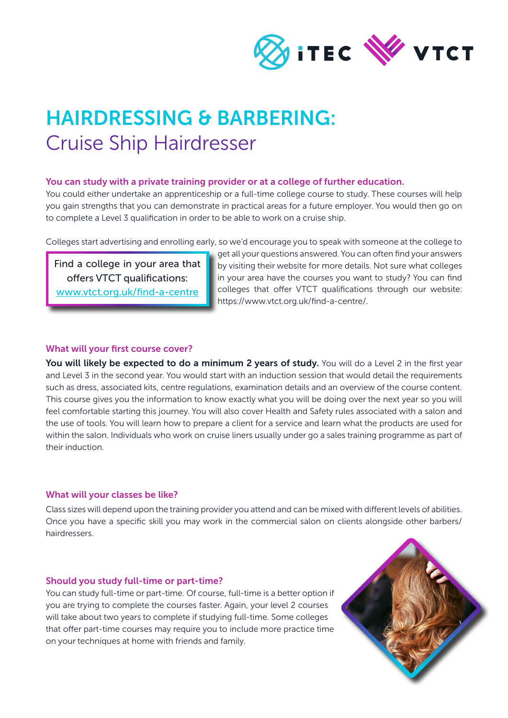

# HAIRDRESSING & BARBERING: Cruise Ship Hairdresser

#### You can study with a private training provider or at a college of further education.

You could either undertake an apprenticeship or a full-time college course to study. These courses will help you gain strengths that you can demonstrate in practical areas for a future employer. You would then go on to complete a Level 3 qualification in order to be able to work on a cruise ship.

Colleges start advertising and enrolling early, so we'd encourage you to speak with someone at the college to

Find a college in your area that offers VTCT qualifications: [www.vtct.org.uk/find-a-centre](http://www.vtct.org.uk/find-a-centre)

get all your questions answered. You can often find your answers by visiting their website for more details. Not sure what colleges in your area have the courses you want to study? You can find colleges that offer VTCT qualifications through our website: https://www.vtct.org.uk/find-a-centre/.

## What will your first course cover?

You will likely be expected to do a minimum 2 years of study. You will do a Level 2 in the first year and Level 3 in the second year. You would start with an induction session that would detail the requirements such as dress, associated kits, centre regulations, examination details and an overview of the course content. This course gives you the information to know exactly what you will be doing over the next year so you will feel comfortable starting this journey. You will also cover Health and Safety rules associated with a salon and the use of tools. You will learn how to prepare a client for a service and learn what the products are used for within the salon. Individuals who work on cruise liners usually under go a sales training programme as part of their induction.

#### What will your classes be like?

Class sizes will depend upon the training provider you attend and can be mixed with different levels of abilities. Once you have a specific skill you may work in the commercial salon on clients alongside other barbers/ hairdressers.

#### Should you study full-time or part-time?

You can study full-time or part-time. Of course, full-time is a better option if you are trying to complete the courses faster. Again, your level 2 courses will take about two years to complete if studying full-time. Some colleges that offer part-time courses may require you to include more practice time on your techniques at home with friends and family.